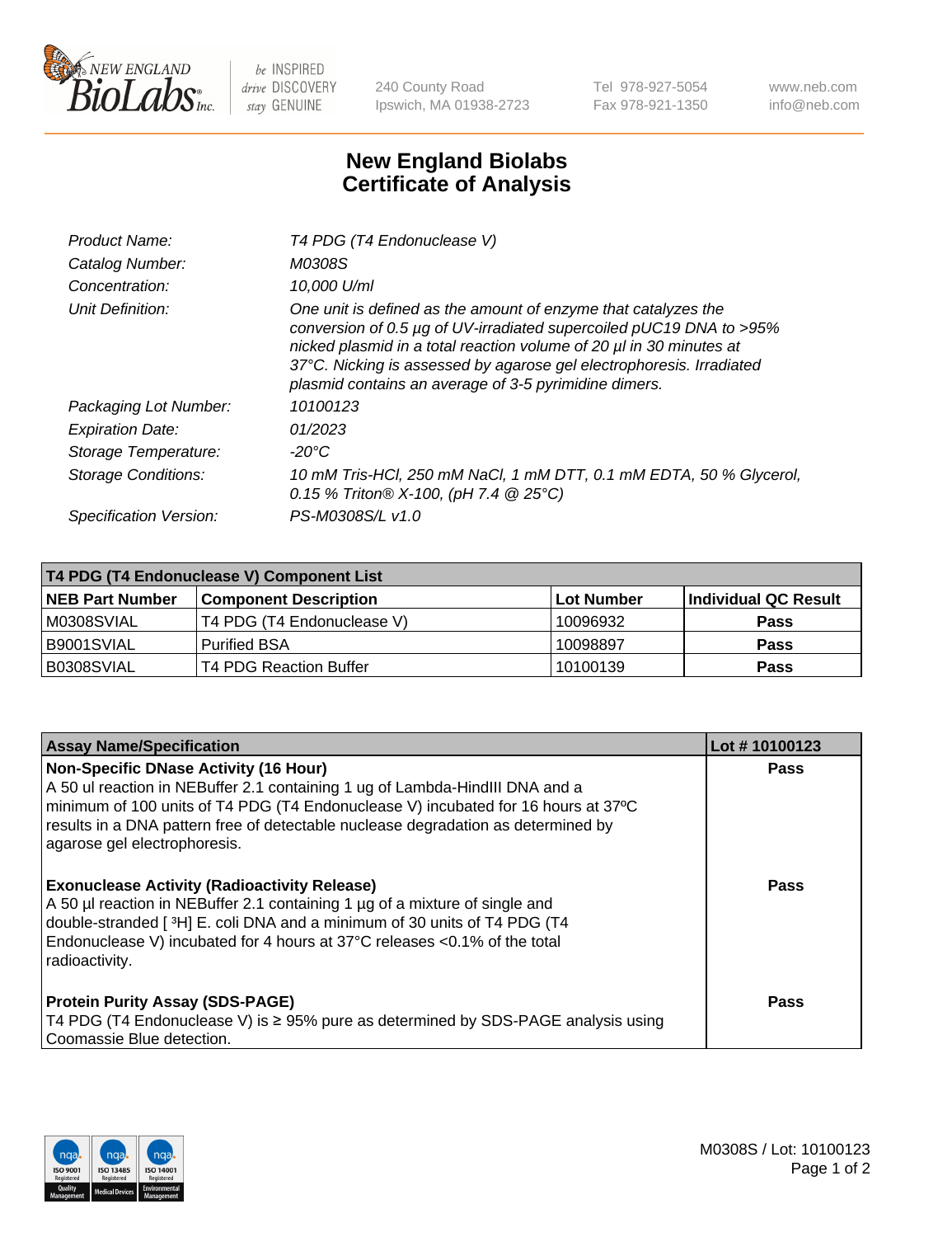

 $be$  INSPIRED drive DISCOVERY stay GENUINE

240 County Road Ipswich, MA 01938-2723 Tel 978-927-5054 Fax 978-921-1350 www.neb.com info@neb.com

## **New England Biolabs Certificate of Analysis**

| Product Name:              | T4 PDG (T4 Endonuclease V)                                                                                                                                                                                                                                                                                                                    |
|----------------------------|-----------------------------------------------------------------------------------------------------------------------------------------------------------------------------------------------------------------------------------------------------------------------------------------------------------------------------------------------|
| Catalog Number:            | M0308S                                                                                                                                                                                                                                                                                                                                        |
| Concentration:             | 10.000 U/ml                                                                                                                                                                                                                                                                                                                                   |
| Unit Definition:           | One unit is defined as the amount of enzyme that catalyzes the<br>conversion of 0.5 µg of UV-irradiated supercoiled pUC19 DNA to >95%<br>nicked plasmid in a total reaction volume of 20 µl in 30 minutes at<br>37°C. Nicking is assessed by agarose gel electrophoresis. Irradiated<br>plasmid contains an average of 3-5 pyrimidine dimers. |
| Packaging Lot Number:      | 10100123                                                                                                                                                                                                                                                                                                                                      |
| <b>Expiration Date:</b>    | 01/2023                                                                                                                                                                                                                                                                                                                                       |
| Storage Temperature:       | $-20^{\circ}$ C                                                                                                                                                                                                                                                                                                                               |
| <b>Storage Conditions:</b> | 10 mM Tris-HCl, 250 mM NaCl, 1 mM DTT, 0.1 mM EDTA, 50 % Glycerol,<br>0.15 % Triton® X-100, (pH 7.4 @ 25°C)                                                                                                                                                                                                                                   |
| Specification Version:     | PS-M0308S/L v1.0                                                                                                                                                                                                                                                                                                                              |

| T4 PDG (T4 Endonuclease V) Component List |                               |            |                             |  |
|-------------------------------------------|-------------------------------|------------|-----------------------------|--|
| <b>NEB Part Number</b>                    | <b>Component Description</b>  | Lot Number | <b>Individual QC Result</b> |  |
| IM0308SVIAL                               | T4 PDG (T4 Endonuclease V)    | 10096932   | <b>Pass</b>                 |  |
| IB9001SVIAL                               | <b>Purified BSA</b>           | 10098897   | <b>Pass</b>                 |  |
| B0308SVIAL                                | <b>T4 PDG Reaction Buffer</b> | 10100139   | Pass                        |  |

| <b>Assay Name/Specification</b>                                                                                                                                                                                                                                                                                                        | Lot #10100123 |
|----------------------------------------------------------------------------------------------------------------------------------------------------------------------------------------------------------------------------------------------------------------------------------------------------------------------------------------|---------------|
| <b>Non-Specific DNase Activity (16 Hour)</b><br>A 50 ul reaction in NEBuffer 2.1 containing 1 ug of Lambda-HindIII DNA and a<br>minimum of 100 units of T4 PDG (T4 Endonuclease V) incubated for 16 hours at 37°C<br>results in a DNA pattern free of detectable nuclease degradation as determined by<br>agarose gel electrophoresis. | Pass          |
| <b>Exonuclease Activity (Radioactivity Release)</b><br>A 50 µl reaction in NEBuffer 2.1 containing 1 µg of a mixture of single and<br>double-stranded [3H] E. coli DNA and a minimum of 30 units of T4 PDG (T4<br>Endonuclease V) incubated for 4 hours at 37°C releases <0.1% of the total<br>radioactivity.                          | <b>Pass</b>   |
| <b>Protein Purity Assay (SDS-PAGE)</b><br>T4 PDG (T4 Endonuclease V) is ≥ 95% pure as determined by SDS-PAGE analysis using<br>Coomassie Blue detection.                                                                                                                                                                               | Pass          |